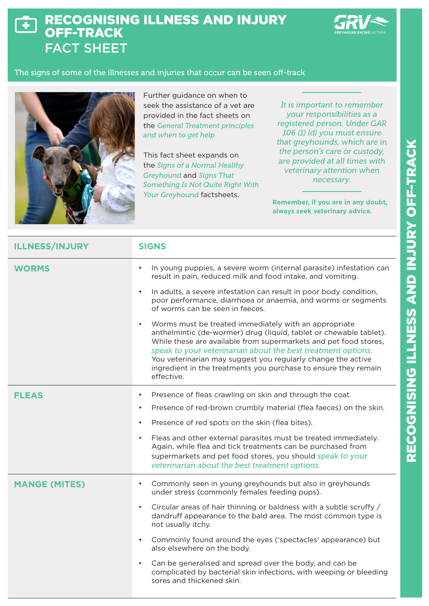## RECOGNISING ILLNESS AND INJURY  $\blacklozenge$ OFF-TRACK FACT SHEET



## The signs of some of the illnesses and injuries that occur can be seen off-track



Further guidance on when to seek the assistance of a vet are provided in the fact sheets on the *General Treatment principles and when to get help*

This fact sheet expands on the *Signs of a Normal Healthy Greyhound* and *Signs That Something Is Not Quite Right With Your Greyhound* factsheets.

*It is important to remember your responsibilities as a registered person. Under GAR 106 (1) (d) you must ensure that greyhounds, which are in the person's care or custody, are provided at all times with veterinary attention when necessary.* 

**Remember, if you are in any doubt, always seek veterinary advice.** 

| <b>ILLNESS/INJURY</b> | <b>SIGNS</b>                                                                                                                                                                                                                                                                                                                                                                                                     |
|-----------------------|------------------------------------------------------------------------------------------------------------------------------------------------------------------------------------------------------------------------------------------------------------------------------------------------------------------------------------------------------------------------------------------------------------------|
| <b>WORMS</b>          | In young puppies, a severe worm (internal parasite) infestation can<br>result in pain, reduced milk and food intake, and vomiting.                                                                                                                                                                                                                                                                               |
|                       | In adults, a severe infestation can result in poor body condition,<br>poor performance, diarrhoea or anaemia, and worms or segments<br>of worms can be seen in faeces.                                                                                                                                                                                                                                           |
|                       | Worms must be treated immediately with an appropriate<br>anthelmintic (de-wormer) drug (liquid, tablet or chewable tablet).<br>While these are available from supermarkets and pet food stores,<br>speak to your veterinarian about the best treatment options.<br>You veterinarian may suggest you regularly change the active<br>ingredient in the treatments you purchase to ensure they remain<br>effective. |
| <b>FLEAS</b>          | Presence of fleas crawling on skin and through the coat.                                                                                                                                                                                                                                                                                                                                                         |
|                       | Presence of red-brown crumbly material (flea faeces) on the skin.                                                                                                                                                                                                                                                                                                                                                |
|                       | Presence of red spots on the skin (flea bites).<br>$\bullet$                                                                                                                                                                                                                                                                                                                                                     |
|                       | Fleas and other external parasites must be treated immediately.<br>$\bullet$<br>Again, while flea and tick treatments can be purchased from<br>supermarkets and pet food stores, you should speak to your<br>veterinarian about the best treatment options.                                                                                                                                                      |
| <b>MANGE (MITES)</b>  | Commonly seen in young greyhounds but also in greyhounds<br>under stress (commonly females feeding pups).                                                                                                                                                                                                                                                                                                        |
|                       | Circular areas of hair thinning or baldness with a subtle scruffy /<br>dandruff appearance to the bald area. The most common type is<br>not usually itchy.                                                                                                                                                                                                                                                       |
|                       | Commonly found around the eyes ('spectacles' appearance) but<br>$\bullet$<br>also elsewhere on the body.                                                                                                                                                                                                                                                                                                         |
|                       | Can be generalised and spread over the body, and can be<br>$\bullet$<br>complicated by bacterial skin infections, with weeping or bleeding<br>sores and thickened skin.                                                                                                                                                                                                                                          |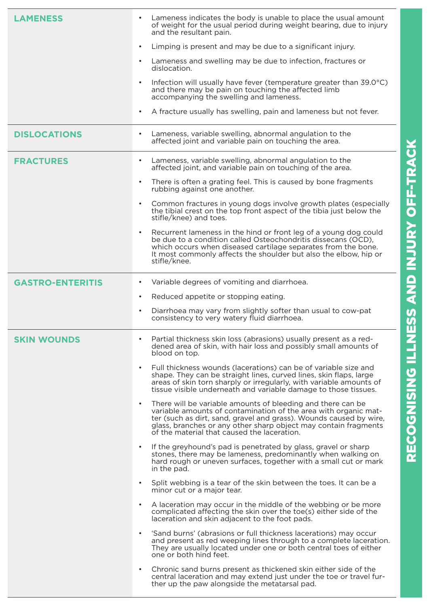| LAMENESS                | Lameness indicates the body is unable to place the usual amount<br>of weight for the usual period during weight bearing, due to injury<br>and the resultant pain.                                                                                                                                                                   |
|-------------------------|-------------------------------------------------------------------------------------------------------------------------------------------------------------------------------------------------------------------------------------------------------------------------------------------------------------------------------------|
|                         | Limping is present and may be due to a significant injury.<br>$\bullet$                                                                                                                                                                                                                                                             |
|                         | Lameness and swelling may be due to infection, fractures or<br>$\bullet$<br>dislocation.                                                                                                                                                                                                                                            |
|                         | Infection will usually have fever (temperature greater than 39.0°C)<br>and there may be pain on touching the affected limb<br>accompanying the swelling and lameness.                                                                                                                                                               |
|                         | A fracture usually has swelling, pain and lameness but not fever.<br>$\bullet$                                                                                                                                                                                                                                                      |
| <b>DISLOCATIONS</b>     | Lameness, variable swelling, abnormal angulation to the<br>$\bullet$<br>affected joint and variable pain on touching the area.                                                                                                                                                                                                      |
| <b>FRACTURES</b>        | Lameness, variable swelling, abnormal angulation to the<br>affected joint, and variable pain on touching of the area.                                                                                                                                                                                                               |
|                         | There is often a grating feel. This is caused by bone fragments<br>$\bullet$<br>rubbing against one another.                                                                                                                                                                                                                        |
|                         | Common fractures in young dogs involve growth plates (especially<br>$\bullet$<br>the tibial crest on the top front aspect of the tibia just below the<br>stifle/knee) and toes.                                                                                                                                                     |
|                         | Recurrent lameness in the hind or front leg of a young dog could<br>$\bullet$<br>be due to a condition called Osteochondritis dissecans (OCD),<br>which occurs when diseased cartilage separates from the bone.<br>It most commonly affects the shoulder but also the elbow, hip or<br>stifle/knee.                                 |
| <b>GASTRO-ENTERITIS</b> | Variable degrees of vomiting and diarrhoea.<br>٠                                                                                                                                                                                                                                                                                    |
|                         | Reduced appetite or stopping eating.<br>$\bullet$                                                                                                                                                                                                                                                                                   |
|                         | Diarrhoea may vary from slightly softer than usual to cow-pat<br>$\bullet$<br>consistency to very watery fluid diarrhoea.                                                                                                                                                                                                           |
| <b>SKIN WOUNDS</b>      | Partial thickness skin loss (abrasions) usually present as a red-<br>$\bullet$<br>dened area of skin, with hair loss and possibly small amounts of<br>blood on top.                                                                                                                                                                 |
|                         | Full thickness wounds (lacerations) can be of variable size and<br>$\bullet$<br>shape. They can be straight lines, curved lines, skin flaps, large<br>areas of skin torn sharply or irregularly, with variable amounts of<br>tissue visible underneath and variable damage to those tissues.                                        |
|                         | There will be variable amounts of bleeding and there can be<br>$\bullet$<br>variable amounts of contamination of the area with organic mat-<br>ter (such as dirt, sand, gravel and grass). Wounds caused by wire,<br>glass, branches or any other sharp object may contain fragments<br>of the material that caused the laceration. |
|                         | If the greyhound's pad is penetrated by glass, gravel or sharp<br>$\bullet$<br>stones, there may be lameness, predominantly when walking on<br>hard rough or uneven surfaces, together with a small cut or mark<br>in the pad.                                                                                                      |
|                         | Split webbing is a tear of the skin between the toes. It can be a<br>$\bullet$<br>minor cut or a major tear.                                                                                                                                                                                                                        |
|                         | A laceration may occur in the middle of the webbing or be more<br>$\bullet$<br>complicated affecting the skin over the toe(s) either side of the<br>laceration and skin adjacent to the foot pads.                                                                                                                                  |
|                         | 'Sand burns' (abrasions or full thickness lacerations) may occur<br>$\bullet$<br>and present as red weeping lines through to a complete laceration.<br>They are usually located under one or both central toes of either<br>one or both hind feet.                                                                                  |
|                         | Chronic sand burns present as thickened skin either side of the<br>$\bullet$<br>central laceration and may extend just under the toe or travel fur-<br>ther up the paw alongside the metatarsal pad.                                                                                                                                |